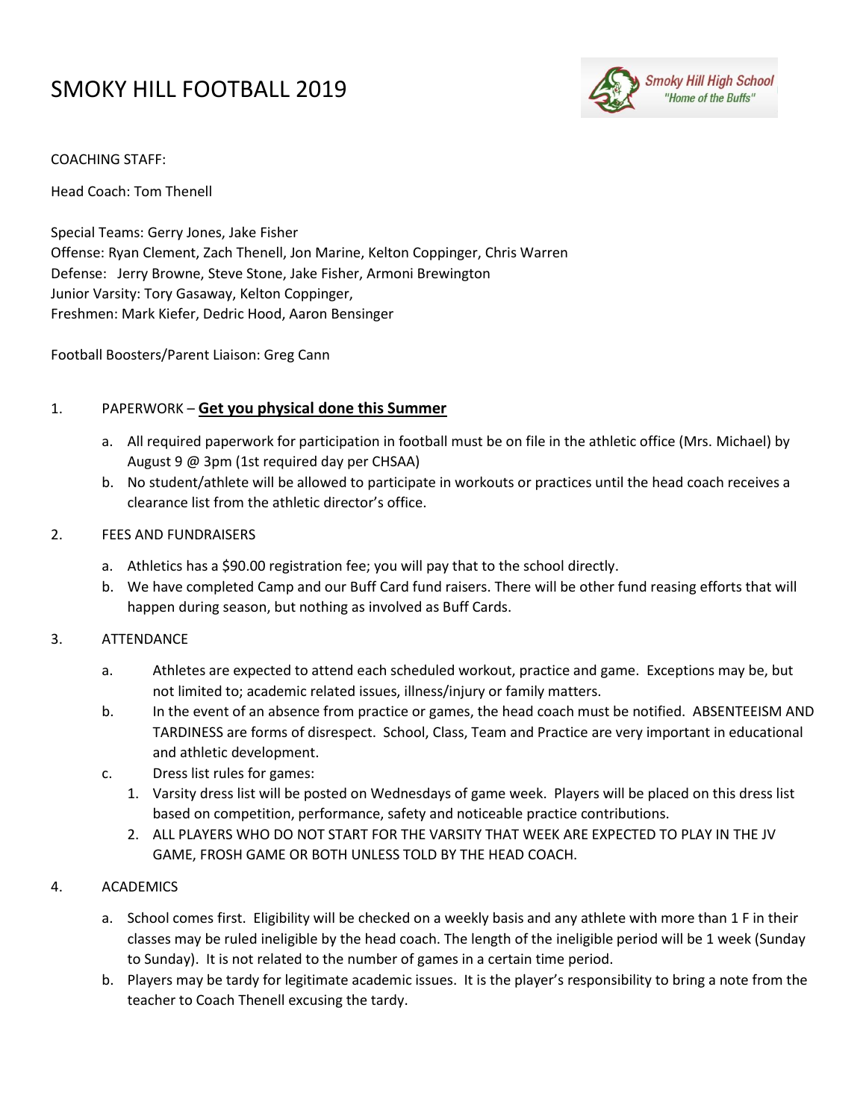# SMOKY HILL FOOTBALL 2019



## COACHING STAFF:

Head Coach: Tom Thenell

Special Teams: Gerry Jones, Jake Fisher Offense: Ryan Clement, Zach Thenell, Jon Marine, Kelton Coppinger, Chris Warren Defense: Jerry Browne, Steve Stone, Jake Fisher, Armoni Brewington Junior Varsity: Tory Gasaway, Kelton Coppinger, Freshmen: Mark Kiefer, Dedric Hood, Aaron Bensinger

Football Boosters/Parent Liaison: Greg Cann

## 1. PAPERWORK – **Get you physical done this Summer**

- a. All required paperwork for participation in football must be on file in the athletic office (Mrs. Michael) by August 9 @ 3pm (1st required day per CHSAA)
- b. No student/athlete will be allowed to participate in workouts or practices until the head coach receives a clearance list from the athletic director's office.

## 2. FEES AND FUNDRAISERS

- a. Athletics has a \$90.00 registration fee; you will pay that to the school directly.
- b. We have completed Camp and our Buff Card fund raisers. There will be other fund reasing efforts that will happen during season, but nothing as involved as Buff Cards.

# 3. ATTENDANCE

- a. Athletes are expected to attend each scheduled workout, practice and game. Exceptions may be, but not limited to; academic related issues, illness/injury or family matters.
- b. In the event of an absence from practice or games, the head coach must be notified. ABSENTEEISM AND TARDINESS are forms of disrespect. School, Class, Team and Practice are very important in educational and athletic development.
- c. Dress list rules for games:
	- 1. Varsity dress list will be posted on Wednesdays of game week. Players will be placed on this dress list based on competition, performance, safety and noticeable practice contributions.
	- 2. ALL PLAYERS WHO DO NOT START FOR THE VARSITY THAT WEEK ARE EXPECTED TO PLAY IN THE JV GAME, FROSH GAME OR BOTH UNLESS TOLD BY THE HEAD COACH.

# 4. ACADEMICS

- a. School comes first. Eligibility will be checked on a weekly basis and any athlete with more than 1 F in their classes may be ruled ineligible by the head coach. The length of the ineligible period will be 1 week (Sunday to Sunday). It is not related to the number of games in a certain time period.
- b. Players may be tardy for legitimate academic issues. It is the player's responsibility to bring a note from the teacher to Coach Thenell excusing the tardy.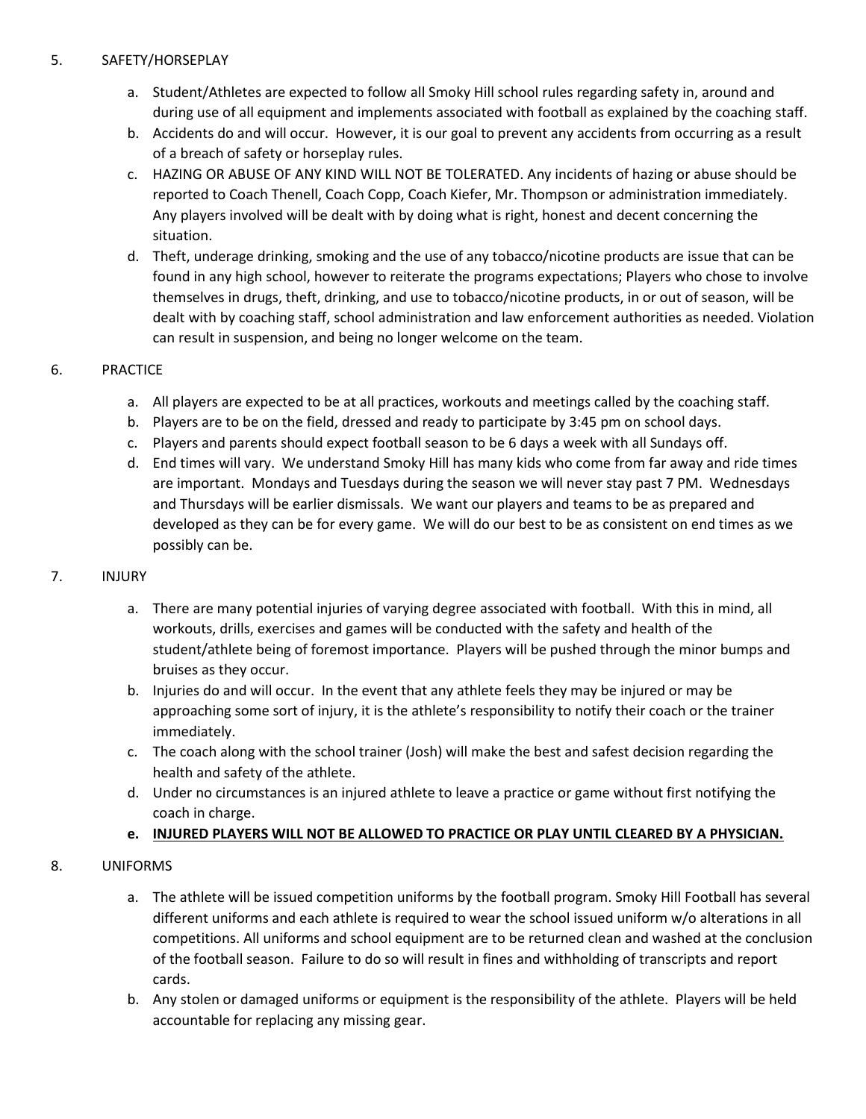## 5. SAFETY/HORSEPLAY

- a. Student/Athletes are expected to follow all Smoky Hill school rules regarding safety in, around and during use of all equipment and implements associated with football as explained by the coaching staff.
- b. Accidents do and will occur. However, it is our goal to prevent any accidents from occurring as a result of a breach of safety or horseplay rules.
- c. HAZING OR ABUSE OF ANY KIND WILL NOT BE TOLERATED. Any incidents of hazing or abuse should be reported to Coach Thenell, Coach Copp, Coach Kiefer, Mr. Thompson or administration immediately. Any players involved will be dealt with by doing what is right, honest and decent concerning the situation.
- d. Theft, underage drinking, smoking and the use of any tobacco/nicotine products are issue that can be found in any high school, however to reiterate the programs expectations; Players who chose to involve themselves in drugs, theft, drinking, and use to tobacco/nicotine products, in or out of season, will be dealt with by coaching staff, school administration and law enforcement authorities as needed. Violation can result in suspension, and being no longer welcome on the team.

# 6. PRACTICE

- a. All players are expected to be at all practices, workouts and meetings called by the coaching staff.
- b. Players are to be on the field, dressed and ready to participate by 3:45 pm on school days.
- c. Players and parents should expect football season to be 6 days a week with all Sundays off.
- d. End times will vary. We understand Smoky Hill has many kids who come from far away and ride times are important. Mondays and Tuesdays during the season we will never stay past 7 PM. Wednesdays and Thursdays will be earlier dismissals. We want our players and teams to be as prepared and developed as they can be for every game. We will do our best to be as consistent on end times as we possibly can be.

#### 7. INJURY

- a. There are many potential injuries of varying degree associated with football. With this in mind, all workouts, drills, exercises and games will be conducted with the safety and health of the student/athlete being of foremost importance. Players will be pushed through the minor bumps and bruises as they occur.
- b. Injuries do and will occur. In the event that any athlete feels they may be injured or may be approaching some sort of injury, it is the athlete's responsibility to notify their coach or the trainer immediately.
- c. The coach along with the school trainer (Josh) will make the best and safest decision regarding the health and safety of the athlete.
- d. Under no circumstances is an injured athlete to leave a practice or game without first notifying the coach in charge.

# **e. INJURED PLAYERS WILL NOT BE ALLOWED TO PRACTICE OR PLAY UNTIL CLEARED BY A PHYSICIAN.**

# 8. UNIFORMS

- a. The athlete will be issued competition uniforms by the football program. Smoky Hill Football has several different uniforms and each athlete is required to wear the school issued uniform w/o alterations in all competitions. All uniforms and school equipment are to be returned clean and washed at the conclusion of the football season. Failure to do so will result in fines and withholding of transcripts and report cards.
- b. Any stolen or damaged uniforms or equipment is the responsibility of the athlete. Players will be held accountable for replacing any missing gear.